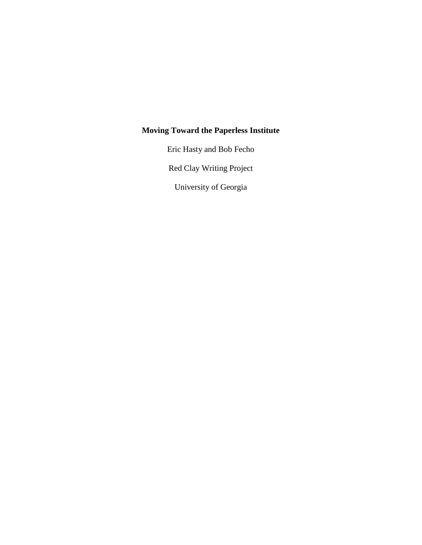# **Moving Toward the Paperless Institute**

Eric Hasty and Bob Fecho

Red Clay Writing Project

University of Georgia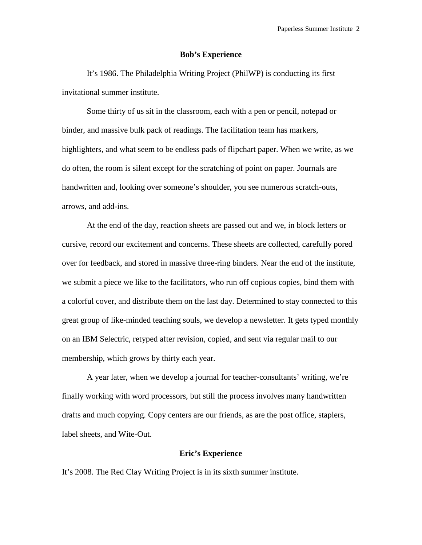## **Bob's Experience**

It's 1986. The Philadelphia Writing Project (PhilWP) is conducting its first invitational summer institute.

Some thirty of us sit in the classroom, each with a pen or pencil, notepad or binder, and massive bulk pack of readings. The facilitation team has markers, highlighters, and what seem to be endless pads of flipchart paper. When we write, as we do often, the room is silent except for the scratching of point on paper. Journals are handwritten and, looking over someone's shoulder, you see numerous scratch-outs, arrows, and add-ins.

At the end of the day, reaction sheets are passed out and we, in block letters or cursive, record our excitement and concerns. These sheets are collected, carefully pored over for feedback, and stored in massive three-ring binders. Near the end of the institute, we submit a piece we like to the facilitators, who run off copious copies, bind them with a colorful cover, and distribute them on the last day. Determined to stay connected to this great group of like-minded teaching souls, we develop a newsletter. It gets typed monthly on an IBM Selectric, retyped after revision, copied, and sent via regular mail to our membership, which grows by thirty each year.

A year later, when we develop a journal for teacher-consultants' writing, we're finally working with word processors, but still the process involves many handwritten drafts and much copying. Copy centers are our friends, as are the post office, staplers, label sheets, and Wite-Out.

# **Eric's Experience**

It's 2008. The Red Clay Writing Project is in its sixth summer institute.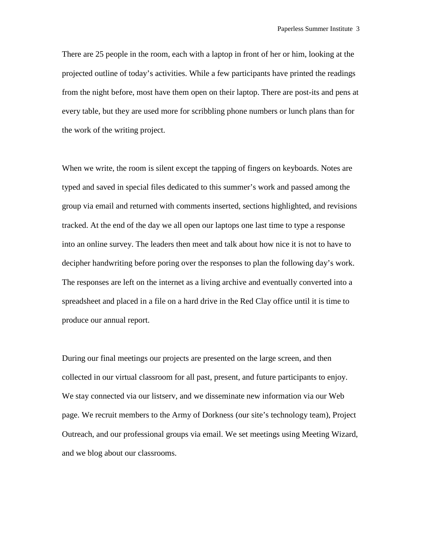There are 25 people in the room, each with a laptop in front of her or him, looking at the projected outline of today's activities. While a few participants have printed the readings from the night before, most have them open on their laptop. There are post-its and pens at every table, but they are used more for scribbling phone numbers or lunch plans than for the work of the writing project.

When we write, the room is silent except the tapping of fingers on keyboards. Notes are typed and saved in special files dedicated to this summer's work and passed among the group via email and returned with comments inserted, sections highlighted, and revisions tracked. At the end of the day we all open our laptops one last time to type a response into an online survey. The leaders then meet and talk about how nice it is not to have to decipher handwriting before poring over the responses to plan the following day's work. The responses are left on the internet as a living archive and eventually converted into a spreadsheet and placed in a file on a hard drive in the Red Clay office until it is time to produce our annual report.

During our final meetings our projects are presented on the large screen, and then collected in our virtual classroom for all past, present, and future participants to enjoy. We stay connected via our listserv, and we disseminate new information via our Web page. We recruit members to the Army of Dorkness (our site's technology team), Project Outreach, and our professional groups via email. We set meetings using Meeting Wizard, and we blog about our classrooms.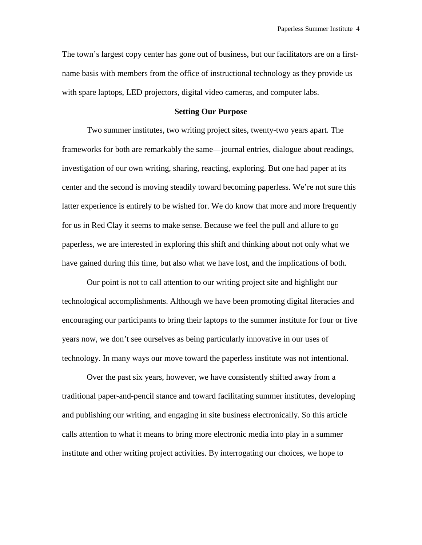The town's largest copy center has gone out of business, but our facilitators are on a firstname basis with members from the office of instructional technology as they provide us with spare laptops, LED projectors, digital video cameras, and computer labs.

## **Setting Our Purpose**

Two summer institutes, two writing project sites, twenty-two years apart. The frameworks for both are remarkably the same—journal entries, dialogue about readings, investigation of our own writing, sharing, reacting, exploring. But one had paper at its center and the second is moving steadily toward becoming paperless. We're not sure this latter experience is entirely to be wished for. We do know that more and more frequently for us in Red Clay it seems to make sense. Because we feel the pull and allure to go paperless, we are interested in exploring this shift and thinking about not only what we have gained during this time, but also what we have lost, and the implications of both.

Our point is not to call attention to our writing project site and highlight our technological accomplishments. Although we have been promoting digital literacies and encouraging our participants to bring their laptops to the summer institute for four or five years now, we don't see ourselves as being particularly innovative in our uses of technology. In many ways our move toward the paperless institute was not intentional.

Over the past six years, however, we have consistently shifted away from a traditional paper-and-pencil stance and toward facilitating summer institutes, developing and publishing our writing, and engaging in site business electronically. So this article calls attention to what it means to bring more electronic media into play in a summer institute and other writing project activities. By interrogating our choices, we hope to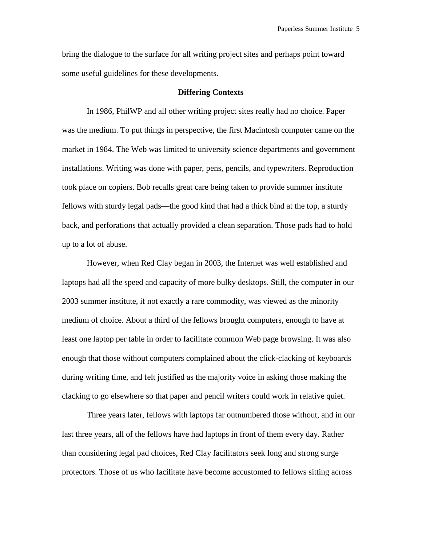bring the dialogue to the surface for all writing project sites and perhaps point toward some useful guidelines for these developments.

#### **Differing Contexts**

In 1986, PhilWP and all other writing project sites really had no choice. Paper was the medium. To put things in perspective, the first Macintosh computer came on the market in 1984. The Web was limited to university science departments and government installations. Writing was done with paper, pens, pencils, and typewriters. Reproduction took place on copiers. Bob recalls great care being taken to provide summer institute fellows with sturdy legal pads—the good kind that had a thick bind at the top, a sturdy back, and perforations that actually provided a clean separation. Those pads had to hold up to a lot of abuse.

However, when Red Clay began in 2003, the Internet was well established and laptops had all the speed and capacity of more bulky desktops. Still, the computer in our 2003 summer institute, if not exactly a rare commodity, was viewed as the minority medium of choice. About a third of the fellows brought computers, enough to have at least one laptop per table in order to facilitate common Web page browsing. It was also enough that those without computers complained about the click-clacking of keyboards during writing time, and felt justified as the majority voice in asking those making the clacking to go elsewhere so that paper and pencil writers could work in relative quiet.

Three years later, fellows with laptops far outnumbered those without, and in our last three years, all of the fellows have had laptops in front of them every day. Rather than considering legal pad choices, Red Clay facilitators seek long and strong surge protectors. Those of us who facilitate have become accustomed to fellows sitting across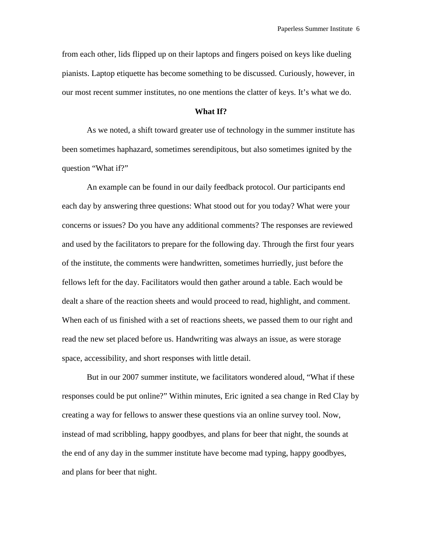from each other, lids flipped up on their laptops and fingers poised on keys like dueling pianists. Laptop etiquette has become something to be discussed. Curiously, however, in our most recent summer institutes, no one mentions the clatter of keys. It's what we do.

#### **What If?**

As we noted, a shift toward greater use of technology in the summer institute has been sometimes haphazard, sometimes serendipitous, but also sometimes ignited by the question "What if?"

An example can be found in our daily feedback protocol. Our participants end each day by answering three questions: What stood out for you today? What were your concerns or issues? Do you have any additional comments? The responses are reviewed and used by the facilitators to prepare for the following day. Through the first four years of the institute, the comments were handwritten, sometimes hurriedly, just before the fellows left for the day. Facilitators would then gather around a table. Each would be dealt a share of the reaction sheets and would proceed to read, highlight, and comment. When each of us finished with a set of reactions sheets, we passed them to our right and read the new set placed before us. Handwriting was always an issue, as were storage space, accessibility, and short responses with little detail.

But in our 2007 summer institute, we facilitators wondered aloud, "What if these responses could be put online?" Within minutes, Eric ignited a sea change in Red Clay by creating a way for fellows to answer these questions via an online survey tool. Now, instead of mad scribbling, happy goodbyes, and plans for beer that night, the sounds at the end of any day in the summer institute have become mad typing, happy goodbyes, and plans for beer that night.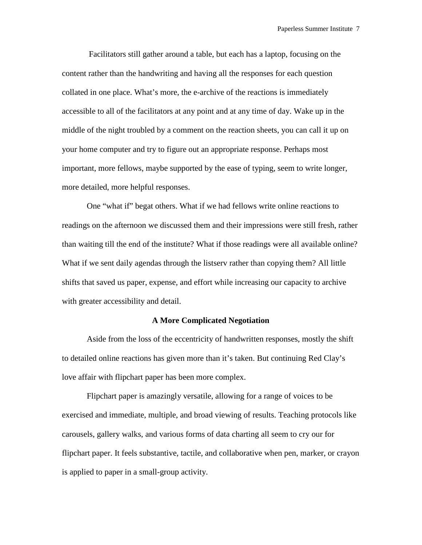Facilitators still gather around a table, but each has a laptop, focusing on the content rather than the handwriting and having all the responses for each question collated in one place. What's more, the e-archive of the reactions is immediately accessible to all of the facilitators at any point and at any time of day. Wake up in the middle of the night troubled by a comment on the reaction sheets, you can call it up on your home computer and try to figure out an appropriate response. Perhaps most important, more fellows, maybe supported by the ease of typing, seem to write longer, more detailed, more helpful responses.

One "what if" begat others. What if we had fellows write online reactions to readings on the afternoon we discussed them and their impressions were still fresh, rather than waiting till the end of the institute? What if those readings were all available online? What if we sent daily agendas through the listserv rather than copying them? All little shifts that saved us paper, expense, and effort while increasing our capacity to archive with greater accessibility and detail.

## **A More Complicated Negotiation**

Aside from the loss of the eccentricity of handwritten responses, mostly the shift to detailed online reactions has given more than it's taken. But continuing Red Clay's love affair with flipchart paper has been more complex.

Flipchart paper is amazingly versatile, allowing for a range of voices to be exercised and immediate, multiple, and broad viewing of results. Teaching protocols like carousels, gallery walks, and various forms of data charting all seem to cry our for flipchart paper. It feels substantive, tactile, and collaborative when pen, marker, or crayon is applied to paper in a small-group activity.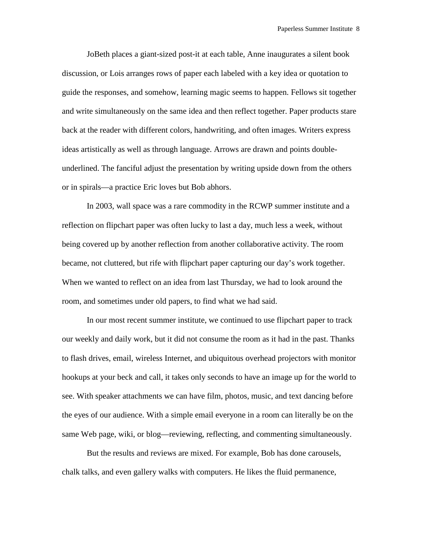JoBeth places a giant-sized post-it at each table, Anne inaugurates a silent book discussion, or Lois arranges rows of paper each labeled with a key idea or quotation to guide the responses, and somehow, learning magic seems to happen. Fellows sit together and write simultaneously on the same idea and then reflect together. Paper products stare back at the reader with different colors, handwriting, and often images. Writers express ideas artistically as well as through language. Arrows are drawn and points doubleunderlined. The fanciful adjust the presentation by writing upside down from the others or in spirals—a practice Eric loves but Bob abhors.

In 2003, wall space was a rare commodity in the RCWP summer institute and a reflection on flipchart paper was often lucky to last a day, much less a week, without being covered up by another reflection from another collaborative activity. The room became, not cluttered, but rife with flipchart paper capturing our day's work together. When we wanted to reflect on an idea from last Thursday, we had to look around the room, and sometimes under old papers, to find what we had said.

In our most recent summer institute, we continued to use flipchart paper to track our weekly and daily work, but it did not consume the room as it had in the past. Thanks to flash drives, email, wireless Internet, and ubiquitous overhead projectors with monitor hookups at your beck and call, it takes only seconds to have an image up for the world to see. With speaker attachments we can have film, photos, music, and text dancing before the eyes of our audience. With a simple email everyone in a room can literally be on the same Web page, wiki, or blog—reviewing, reflecting, and commenting simultaneously.

But the results and reviews are mixed. For example, Bob has done carousels, chalk talks, and even gallery walks with computers. He likes the fluid permanence,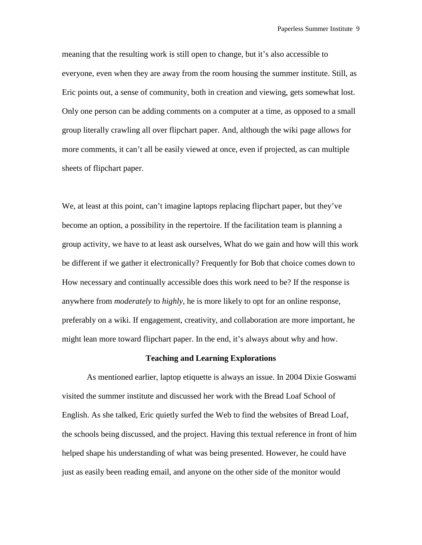meaning that the resulting work is still open to change, but it's also accessible to everyone, even when they are away from the room housing the summer institute. Still, as Eric points out, a sense of community, both in creation and viewing, gets somewhat lost. Only one person can be adding comments on a computer at a time, as opposed to a small group literally crawling all over flipchart paper. And, although the wiki page allows for more comments, it can't all be easily viewed at once, even if projected, as can multiple sheets of flipchart paper.

We, at least at this point, can't imagine laptops replacing flipchart paper, but they've become an option, a possibility in the repertoire. If the facilitation team is planning a group activity, we have to at least ask ourselves, What do we gain and how will this work be different if we gather it electronically? Frequently for Bob that choice comes down to How necessary and continually accessible does this work need to be? If the response is anywhere from *moderately* to *highly*, he is more likely to opt for an online response, preferably on a wiki. If engagement, creativity, and collaboration are more important, he might lean more toward flipchart paper. In the end, it's always about why and how.

#### **Teaching and Learning Explorations**

As mentioned earlier, laptop etiquette is always an issue. In 2004 Dixie Goswami visited the summer institute and discussed her work with the Bread Loaf School of English. As she talked, Eric quietly surfed the Web to find the websites of Bread Loaf, the schools being discussed, and the project. Having this textual reference in front of him helped shape his understanding of what was being presented. However, he could have just as easily been reading email, and anyone on the other side of the monitor would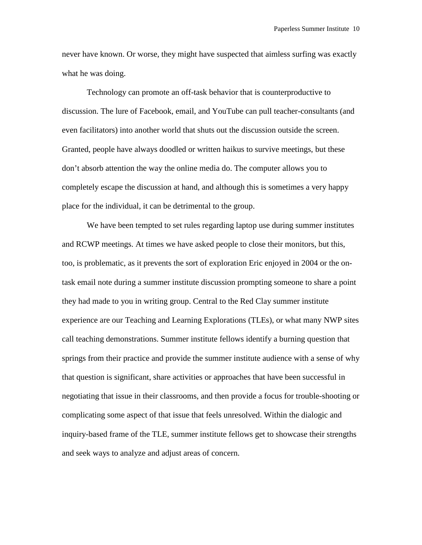never have known. Or worse, they might have suspected that aimless surfing was exactly what he was doing.

Technology can promote an off-task behavior that is counterproductive to discussion. The lure of Facebook, email, and YouTube can pull teacher-consultants (and even facilitators) into another world that shuts out the discussion outside the screen. Granted, people have always doodled or written haikus to survive meetings, but these don't absorb attention the way the online media do. The computer allows you to completely escape the discussion at hand, and although this is sometimes a very happy place for the individual, it can be detrimental to the group.

We have been tempted to set rules regarding laptop use during summer institutes and RCWP meetings. At times we have asked people to close their monitors, but this, too, is problematic, as it prevents the sort of exploration Eric enjoyed in 2004 or the ontask email note during a summer institute discussion prompting someone to share a point they had made to you in writing group. Central to the Red Clay summer institute experience are our Teaching and Learning Explorations (TLEs), or what many NWP sites call teaching demonstrations. Summer institute fellows identify a burning question that springs from their practice and provide the summer institute audience with a sense of why that question is significant, share activities or approaches that have been successful in negotiating that issue in their classrooms, and then provide a focus for trouble-shooting or complicating some aspect of that issue that feels unresolved. Within the dialogic and inquiry-based frame of the TLE, summer institute fellows get to showcase their strengths and seek ways to analyze and adjust areas of concern.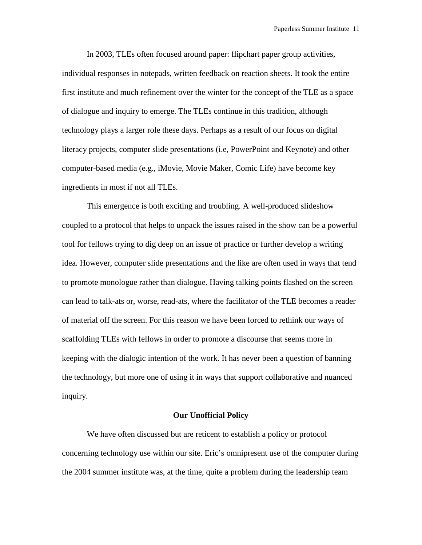In 2003, TLEs often focused around paper: flipchart paper group activities, individual responses in notepads, written feedback on reaction sheets. It took the entire first institute and much refinement over the winter for the concept of the TLE as a space of dialogue and inquiry to emerge. The TLEs continue in this tradition, although technology plays a larger role these days. Perhaps as a result of our focus on digital literacy projects, computer slide presentations (i.e, PowerPoint and Keynote) and other computer-based media (e.g., iMovie, Movie Maker, Comic Life) have become key ingredients in most if not all TLEs.

This emergence is both exciting and troubling. A well-produced slideshow coupled to a protocol that helps to unpack the issues raised in the show can be a powerful tool for fellows trying to dig deep on an issue of practice or further develop a writing idea. However, computer slide presentations and the like are often used in ways that tend to promote monologue rather than dialogue. Having talking points flashed on the screen can lead to talk-ats or, worse, read-ats, where the facilitator of the TLE becomes a reader of material off the screen. For this reason we have been forced to rethink our ways of scaffolding TLEs with fellows in order to promote a discourse that seems more in keeping with the dialogic intention of the work. It has never been a question of banning the technology, but more one of using it in ways that support collaborative and nuanced inquiry.

#### **Our Unofficial Policy**

We have often discussed but are reticent to establish a policy or protocol concerning technology use within our site. Eric's omnipresent use of the computer during the 2004 summer institute was, at the time, quite a problem during the leadership team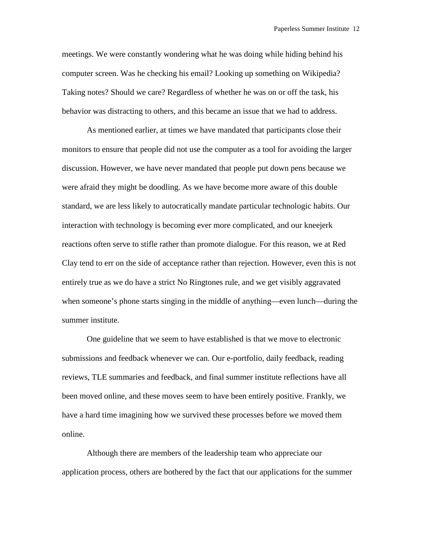meetings. We were constantly wondering what he was doing while hiding behind his computer screen. Was he checking his email? Looking up something on Wikipedia? Taking notes? Should we care? Regardless of whether he was on or off the task, his behavior was distracting to others, and this became an issue that we had to address.

As mentioned earlier, at times we have mandated that participants close their monitors to ensure that people did not use the computer as a tool for avoiding the larger discussion. However, we have never mandated that people put down pens because we were afraid they might be doodling. As we have become more aware of this double standard, we are less likely to autocratically mandate particular technologic habits. Our interaction with technology is becoming ever more complicated, and our kneejerk reactions often serve to stifle rather than promote dialogue. For this reason, we at Red Clay tend to err on the side of acceptance rather than rejection. However, even this is not entirely true as we do have a strict No Ringtones rule, and we get visibly aggravated when someone's phone starts singing in the middle of anything—even lunch—during the summer institute.

One guideline that we seem to have established is that we move to electronic submissions and feedback whenever we can. Our e-portfolio, daily feedback, reading reviews, TLE summaries and feedback, and final summer institute reflections have all been moved online, and these moves seem to have been entirely positive. Frankly, we have a hard time imagining how we survived these processes before we moved them online.

Although there are members of the leadership team who appreciate our application process, others are bothered by the fact that our applications for the summer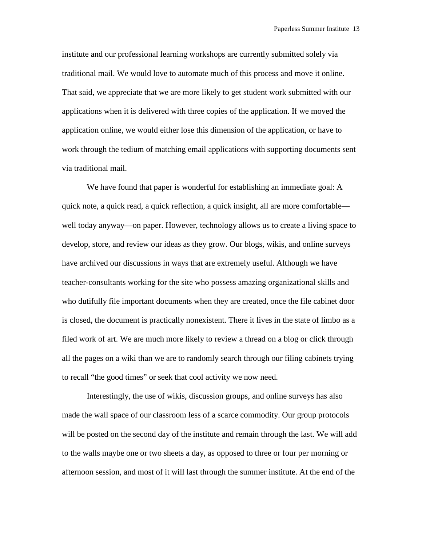institute and our professional learning workshops are currently submitted solely via traditional mail. We would love to automate much of this process and move it online. That said, we appreciate that we are more likely to get student work submitted with our applications when it is delivered with three copies of the application. If we moved the application online, we would either lose this dimension of the application, or have to work through the tedium of matching email applications with supporting documents sent via traditional mail.

We have found that paper is wonderful for establishing an immediate goal: A quick note, a quick read, a quick reflection, a quick insight, all are more comfortable well today anyway—on paper. However, technology allows us to create a living space to develop, store, and review our ideas as they grow. Our blogs, wikis, and online surveys have archived our discussions in ways that are extremely useful. Although we have teacher-consultants working for the site who possess amazing organizational skills and who dutifully file important documents when they are created, once the file cabinet door is closed, the document is practically nonexistent. There it lives in the state of limbo as a filed work of art. We are much more likely to review a thread on a blog or click through all the pages on a wiki than we are to randomly search through our filing cabinets trying to recall "the good times" or seek that cool activity we now need.

Interestingly, the use of wikis, discussion groups, and online surveys has also made the wall space of our classroom less of a scarce commodity. Our group protocols will be posted on the second day of the institute and remain through the last. We will add to the walls maybe one or two sheets a day, as opposed to three or four per morning or afternoon session, and most of it will last through the summer institute. At the end of the